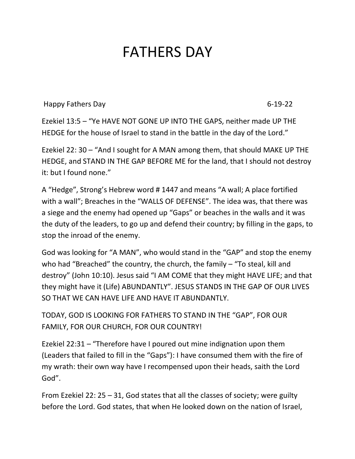## FATHERS DAY

Happy Fathers Day 6-19-22

Ezekiel 13:5 – "Ye HAVE NOT GONE UP INTO THE GAPS, neither made UP THE HEDGE for the house of Israel to stand in the battle in the day of the Lord."

Ezekiel 22: 30 – "And I sought for A MAN among them, that should MAKE UP THE HEDGE, and STAND IN THE GAP BEFORE ME for the land, that I should not destroy it: but I found none."

A "Hedge", Strong's Hebrew word # 1447 and means "A wall; A place fortified with a wall"; Breaches in the "WALLS OF DEFENSE". The idea was, that there was a siege and the enemy had opened up "Gaps" or beaches in the walls and it was the duty of the leaders, to go up and defend their country; by filling in the gaps, to stop the inroad of the enemy.

God was looking for "A MAN", who would stand in the "GAP" and stop the enemy who had "Breached" the country, the church, the family  $-$  "To steal, kill and destroy" (John 10:10). Jesus said "I AM COME that they might HAVE LIFE; and that they might have it (Life) ABUNDANTLY". JESUS STANDS IN THE GAP OF OUR LIVES SO THAT WE CAN HAVE LIFE AND HAVE IT ABUNDANTLY.

TODAY, GOD IS LOOKING FOR FATHERS TO STAND IN THE "GAP", FOR OUR FAMILY, FOR OUR CHURCH, FOR OUR COUNTRY!

Ezekiel 22:31 – "Therefore have I poured out mine indignation upon them (Leaders that failed to fill in the "Gaps"): I have consumed them with the fire of my wrath: their own way have I recompensed upon their heads, saith the Lord God".

From Ezekiel 22: 25 – 31, God states that all the classes of society; were guilty before the Lord. God states, that when He looked down on the nation of Israel,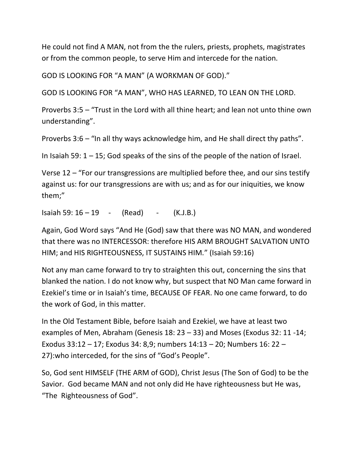He could not find A MAN, not from the the rulers, priests, prophets, magistrates or from the common people, to serve Him and intercede for the nation.

GOD IS LOOKING FOR "A MAN" (A WORKMAN OF GOD)."

GOD IS LOOKING FOR "A MAN", WHO HAS LEARNED, TO LEAN ON THE LORD.

Proverbs 3:5 – "Trust in the Lord with all thine heart; and lean not unto thine own understanding".

Proverbs 3:6 – "In all thy ways acknowledge him, and He shall direct thy paths".

In Isaiah 59:  $1 - 15$ ; God speaks of the sins of the people of the nation of Israel.

Verse 12 – "For our transgressions are multiplied before thee, and our sins testify against us: for our transgressions are with us; and as for our iniquities, we know them;"

Isaiah 59: 16 – 19 - (Read) - (K.J.B.)

Again, God Word says "And He (God) saw that there was NO MAN, and wondered that there was no INTERCESSOR: therefore HIS ARM BROUGHT SALVATION UNTO HIM; and HIS RIGHTEOUSNESS, IT SUSTAINS HIM." (Isaiah 59:16)

Not any man came forward to try to straighten this out, concerning the sins that blanked the nation. I do not know why, but suspect that NO Man came forward in Ezekiel's time or in Isaiah's time, BECAUSE OF FEAR. No one came forward, to do the work of God, in this matter.

In the Old Testament Bible, before Isaiah and Ezekiel, we have at least two examples of Men, Abraham (Genesis 18: 23 – 33) and Moses (Exodus 32: 11 -14; Exodus 33:12 – 17; Exodus 34: 8,9; numbers 14:13 – 20; Numbers 16: 22 – 27):who interceded, for the sins of "God's People".

So, God sent HIMSELF (THE ARM of GOD), Christ Jesus (The Son of God) to be the Savior. God became MAN and not only did He have righteousness but He was, "The Righteousness of God".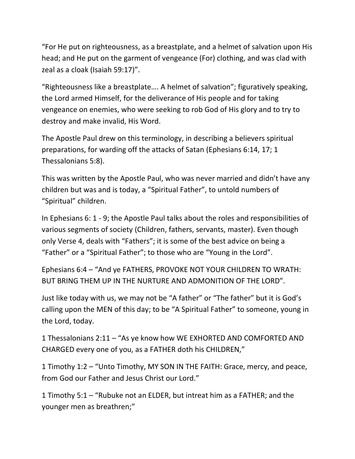"For He put on righteousness, as a breastplate, and a helmet of salvation upon His head; and He put on the garment of vengeance (For) clothing, and was clad with zeal as a cloak (Isaiah 59:17)".

"Righteousness like a breastplate…. A helmet of salvation"; figuratively speaking, the Lord armed Himself, for the deliverance of His people and for taking vengeance on enemies, who were seeking to rob God of His glory and to try to destroy and make invalid, His Word.

The Apostle Paul drew on this terminology, in describing a believers spiritual preparations, for warding off the attacks of Satan (Ephesians 6:14, 17; 1 Thessalonians 5:8).

This was written by the Apostle Paul, who was never married and didn't have any children but was and is today, a "Spiritual Father", to untold numbers of "Spiritual" children.

In Ephesians 6: 1 - 9; the Apostle Paul talks about the roles and responsibilities of various segments of society (Children, fathers, servants, master). Even though only Verse 4, deals with "Fathers"; it is some of the best advice on being a "Father" or a "Spiritual Father"; to those who are "Young in the Lord".

Ephesians 6:4 – "And ye FATHERS, PROVOKE NOT YOUR CHILDREN TO WRATH: BUT BRING THEM UP IN THE NURTURE AND ADMONITION OF THE LORD".

Just like today with us, we may not be "A father" or "The father" but it is God's calling upon the MEN of this day; to be "A Spiritual Father" to someone, young in the Lord, today.

1 Thessalonians 2:11 – "As ye know how WE EXHORTED AND COMFORTED AND CHARGED every one of you, as a FATHER doth his CHILDREN,"

1 Timothy 1:2 – "Unto Timothy, MY SON IN THE FAITH: Grace, mercy, and peace, from God our Father and Jesus Christ our Lord."

1 Timothy 5:1 – "Rubuke not an ELDER, but intreat him as a FATHER; and the younger men as breathren;"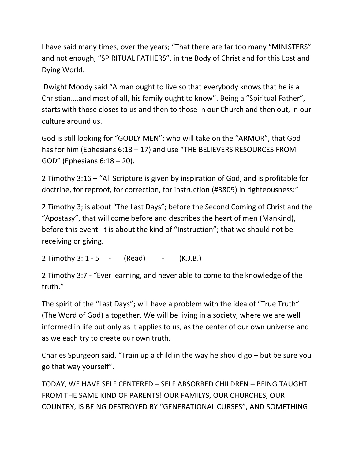I have said many times, over the years; "That there are far too many "MINISTERS" and not enough, "SPIRITUAL FATHERS", in the Body of Christ and for this Lost and Dying World.

Dwight Moody said "A man ought to live so that everybody knows that he is a Christian….and most of all, his family ought to know". Being a "Spiritual Father", starts with those closes to us and then to those in our Church and then out, in our culture around us.

God is still looking for "GODLY MEN"; who will take on the "ARMOR", that God has for him (Ephesians 6:13 – 17) and use "THE BELIEVERS RESOURCES FROM GOD" (Ephesians 6:18 – 20).

2 Timothy 3:16 – "All Scripture is given by inspiration of God, and is profitable for doctrine, for reproof, for correction, for instruction (#3809) in righteousness:"

2 Timothy 3; is about "The Last Days"; before the Second Coming of Christ and the "Apostasy", that will come before and describes the heart of men (Mankind), before this event. It is about the kind of "Instruction"; that we should not be receiving or giving.

2 Timothy 3:  $1 - 5 - (Read) - (K.J.B.)$ 

2 Timothy 3:7 - "Ever learning, and never able to come to the knowledge of the truth."

The spirit of the "Last Days"; will have a problem with the idea of "True Truth" (The Word of God) altogether. We will be living in a society, where we are well informed in life but only as it applies to us, as the center of our own universe and as we each try to create our own truth.

Charles Spurgeon said, "Train up a child in the way he should go – but be sure you go that way yourself".

TODAY, WE HAVE SELF CENTERED – SELF ABSORBED CHILDREN – BEING TAUGHT FROM THE SAME KIND OF PARENTS! OUR FAMILYS, OUR CHURCHES, OUR COUNTRY, IS BEING DESTROYED BY "GENERATIONAL CURSES", AND SOMETHING